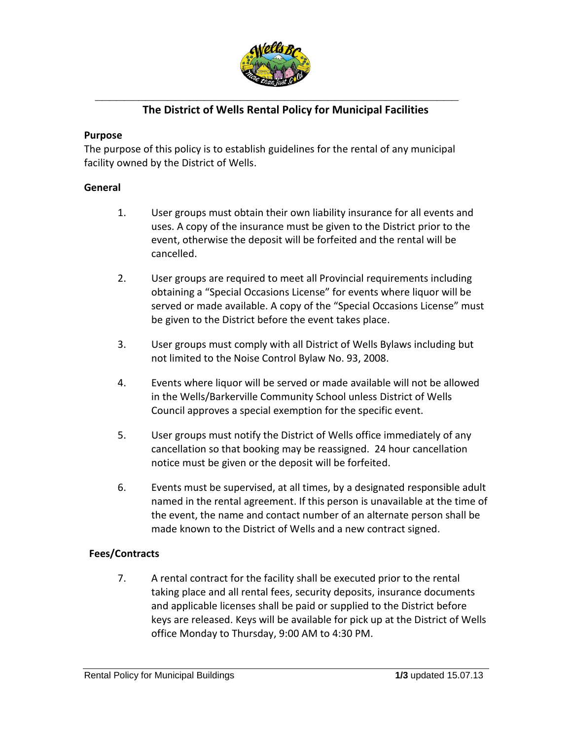

# **The District of Wells Rental Policy for Municipal Facilities**

#### **Purpose**

The purpose of this policy is to establish guidelines for the rental of any municipal facility owned by the District of Wells.

#### **General**

- 1. User groups must obtain their own liability insurance for all events and uses. A copy of the insurance must be given to the District prior to the event, otherwise the deposit will be forfeited and the rental will be cancelled.
- 2. User groups are required to meet all Provincial requirements including obtaining a "Special Occasions License" for events where liquor will be served or made available. A copy of the "Special Occasions License" must be given to the District before the event takes place.
- 3. User groups must comply with all District of Wells Bylaws including but not limited to the Noise Control Bylaw No. 93, 2008.
- 4. Events where liquor will be served or made available will not be allowed in the Wells/Barkerville Community School unless District of Wells Council approves a special exemption for the specific event.
- 5. User groups must notify the District of Wells office immediately of any cancellation so that booking may be reassigned. 24 hour cancellation notice must be given or the deposit will be forfeited.
- 6. Events must be supervised, at all times, by a designated responsible adult named in the rental agreement. If this person is unavailable at the time of the event, the name and contact number of an alternate person shall be made known to the District of Wells and a new contract signed.

### **Fees/Contracts**

7. A rental contract for the facility shall be executed prior to the rental taking place and all rental fees, security deposits, insurance documents and applicable licenses shall be paid or supplied to the District before keys are released. Keys will be available for pick up at the District of Wells office Monday to Thursday, 9:00 AM to 4:30 PM.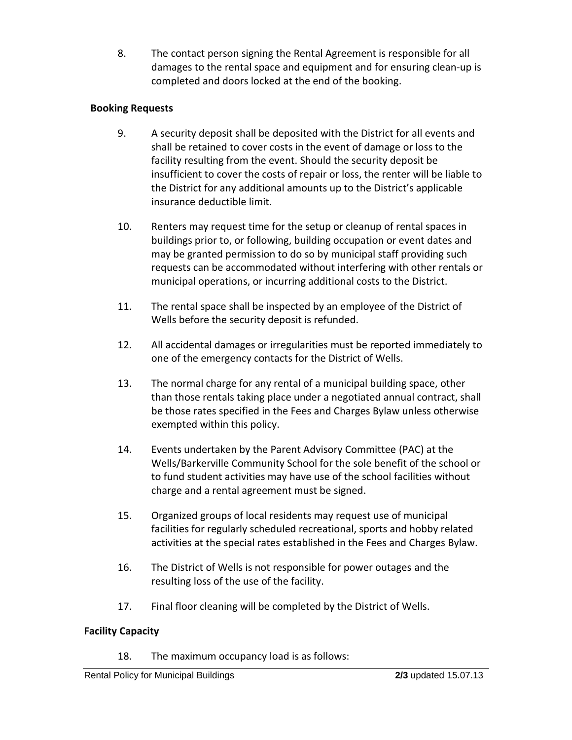8. The contact person signing the Rental Agreement is responsible for all damages to the rental space and equipment and for ensuring clean-up is completed and doors locked at the end of the booking.

## **Booking Requests**

- 9. A security deposit shall be deposited with the District for all events and shall be retained to cover costs in the event of damage or loss to the facility resulting from the event. Should the security deposit be insufficient to cover the costs of repair or loss, the renter will be liable to the District for any additional amounts up to the District's applicable insurance deductible limit.
- 10. Renters may request time for the setup or cleanup of rental spaces in buildings prior to, or following, building occupation or event dates and may be granted permission to do so by municipal staff providing such requests can be accommodated without interfering with other rentals or municipal operations, or incurring additional costs to the District.
- 11. The rental space shall be inspected by an employee of the District of Wells before the security deposit is refunded.
- 12. All accidental damages or irregularities must be reported immediately to one of the emergency contacts for the District of Wells.
- 13. The normal charge for any rental of a municipal building space, other than those rentals taking place under a negotiated annual contract, shall be those rates specified in the Fees and Charges Bylaw unless otherwise exempted within this policy.
- 14. Events undertaken by the Parent Advisory Committee (PAC) at the Wells/Barkerville Community School for the sole benefit of the school or to fund student activities may have use of the school facilities without charge and a rental agreement must be signed.
- 15. Organized groups of local residents may request use of municipal facilities for regularly scheduled recreational, sports and hobby related activities at the special rates established in the Fees and Charges Bylaw.
- 16. The District of Wells is not responsible for power outages and the resulting loss of the use of the facility.
- 17. Final floor cleaning will be completed by the District of Wells.

### **Facility Capacity**

18. The maximum occupancy load is as follows: